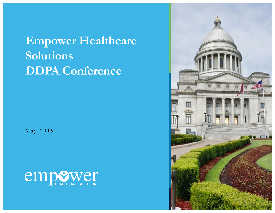## **Empower Healthcare Solutions DDPA Conference**

May 2019



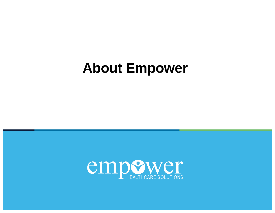# **About Empower**

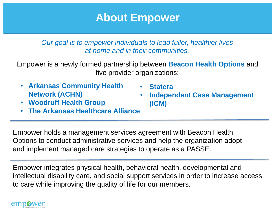#### **About Empower**

*Our goal is to empower individuals to lead fuller, healthier lives at home and in their communities.*

Empower is a newly formed partnership between **Beacon Health Options** and five provider organizations:

- **Arkansas Community Health Network (ACHN)**
	- **Woodruff Health Group**
- **Statera**
- **Independent Case Management (ICM)**
- **The Arkansas Healthcare Alliance**

Empower holds a management services agreement with Beacon Health Options to conduct administrative services and help the organization adopt and implement managed care strategies to operate as a PASSE.

Empower integrates physical health, behavioral health, developmental and intellectual disability care, and social support services in order to increase access to care while improving the quality of life for our members.

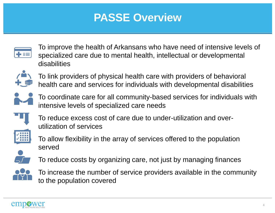## **PASSE Overview**



To improve the health of Arkansans who have need of intensive levels of specialized care due to mental health, intellectual or developmental disabilities



To link providers of physical health care with providers of behavioral health care and services for individuals with developmental disabilities



To coordinate care for all community-based services for individuals with intensive levels of specialized care needs



To reduce excess cost of care due to under-utilization and overutilization of services



To allow flexibility in the array of services offered to the population served



To reduce costs by organizing care, not just by managing finances



To increase the number of service providers available in the community to the population covered

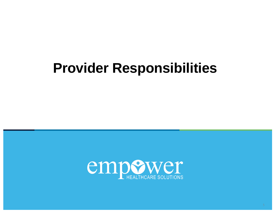# **Provider Responsibilities**

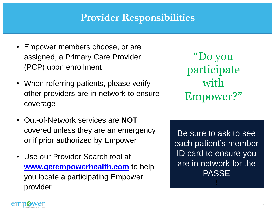#### **Provider Responsibilities**

- Empower members choose, or are assigned, a Primary Care Provider (PCP) upon enrollment
- When referring patients, please verify other providers are in-network to ensure coverage
- Out-of-Network services are **NOT** covered unless they are an emergency or if prior authorized by Empower
- Use our Provider Search tool at **[www.getempowerhealth.com](http://www.getempowerhealth.com/)** to help you locate a participating Empower provider

"Do you participate with Empower?"

Be sure to ask to see each patient's member ID card to ensure you are in network for the **PASSE** 

!

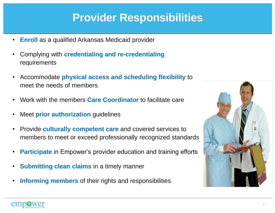#### **Provider Responsibilities**

- **Enroll** as a qualified Arkansas Medicaid provider
- Complying with **credentialing and re-credentialing**  requirements
- Accommodate **physical access and scheduling flexibility** to meet the needs of members
- Work with the members **Care Coordinator** to facilitate care
- Meet **prior authorization** guidelines
- Provide **culturally competent care** and covered services to members to meet or exceed professionally recognized standards
- **Participate** in Empower's provider education and training efforts
- **Submitting clean claims** in a timely manner
- **Informing members** of their rights and responsibilities



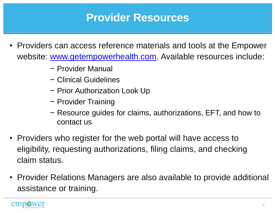#### **Provider Resources**

- Providers can access reference materials and tools at the Empower website: [www.getempowerhealth.com.](http://www.getempowerhealth.com/) Available resources include:
	- − Provider Manual
	- − Clinical Guidelines
	- − Prior Authorization Look Up
	- − Provider Training
	- − Resource guides for claims, authorizations, EFT, and how to contact us
- Providers who register for the web portal will have access to eligibility, requesting authorizations, filing claims, and checking claim status.
- Provider Relations Managers are also available to provide additional assistance or training.

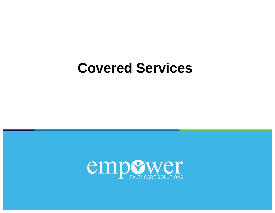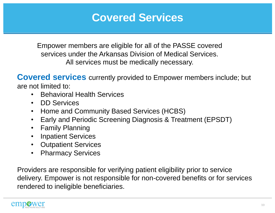Empower members are eligible for all of the PASSE covered services under the Arkansas Division of Medical Services. All services must be medically necessary.

**Covered services** currently provided to Empower members include; but are not limited to:

- Behavioral Health Services
- DD Services
- Home and Community Based Services (HCBS)
- Early and Periodic Screening Diagnosis & Treatment (EPSDT)
- Family Planning
- Inpatient Services
- Outpatient Services
- Pharmacy Services

Providers are responsible for verifying patient eligibility prior to service delivery. Empower is not responsible for non-covered benefits or for services rendered to ineligible beneficiaries.

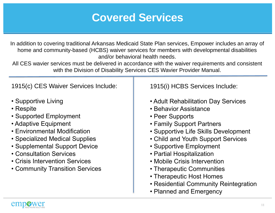In addition to covering traditional Arkansas Medicaid State Plan services, Empower includes an array of home and community-based (HCBS) waiver services for members with developmental disabilities and/or behavioral health needs.

All CES wavier services must be delivered in accordance with the waiver requirements and consistent with the Division of Disability Services CES Wavier Provider Manual.

1915(c) CES Waiver Services Include:

- Supportive Living
- Respite
- Supported Employment
- Adaptive Equipment
- Environmental Modification
- Specialized Medical Supplies
- Supplemental Support Device
- Consultation Services
- Crisis Intervention Services
- Community Transition Services

1915(i) HCBS Services Include:

- Adult Rehabilitation Day Services
- Behavior Assistance
- Peer Supports
- Family Support Partners
- Supportive Life Skills Development
- Child and Youth Support Services
- Supportive Employment
- Partial Hospitalization
- Mobile Crisis Intervention
- Therapeutic Communities
- Therapeutic Host Homes
- Residential Community Reintegration
- Planned and Emergency

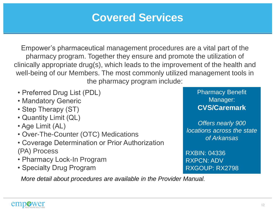Empower's pharmaceutical management procedures are a vital part of the pharmacy program. Together they ensure and promote the utilization of clinically appropriate drug(s), which leads to the improvement of the health and well-being of our Members. The most commonly utilized management tools in the pharmacy program include:

- Preferred Drug List (PDL)
- Mandatory Generic
- Step Therapy (ST)
- Quantity Limit (QL)
- Age Limit (AL)
- Over-The-Counter (OTC) Medications
- Coverage Determination or Prior Authorization (PA) Process
- Pharmacy Lock-In Program
- Specialty Drug Program

*More detail about procedures are available in the Provider Manual.* 

Pharmacy Benefit Manager: **CVS/Caremark**

*Offers nearly 900 locations across the state of Arkansas*

RXBIN: 04336 RXPCN: ADV RXGOUP: RX2798

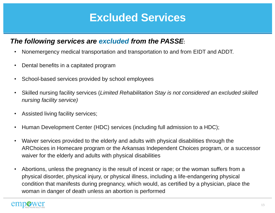#### **Excluded Services**

#### *The following services are excluded from the PASSE*:

- Nonemergency medical transportation and transportation to and from EIDT and ADDT.
- Dental benefits in a capitated program
- School-based services provided by school employees
- Skilled nursing facility services (*Limited Rehabilitation Stay is not considered an excluded skilled nursing facility service)*
- Assisted living facility services;
- Human Development Center (HDC) services (including full admission to a HDC);
- Waiver services provided to the elderly and adults with physical disabilities through the ARChoices in Homecare program or the Arkansas Independent Choices program, or a successor waiver for the elderly and adults with physical disabilities
- Abortions, unless the pregnancy is the result of incest or rape; or the woman suffers from a physical disorder, physical injury, or physical illness, including a life-endangering physical condition that manifests during pregnancy, which would, as certified by a physician, place the woman in danger of death unless an abortion is performed

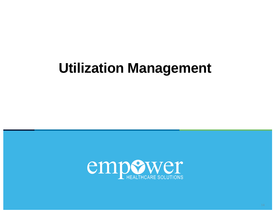# **Utilization Management**

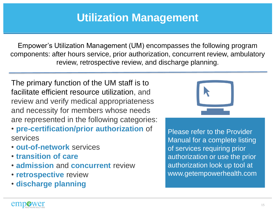#### **Utilization Management**

Empower's Utilization Management (UM) encompasses the following program components: after hours service, prior authorization, concurrent review, ambulatory review, retrospective review, and discharge planning.

The primary function of the UM staff is to facilitate efficient resource utilization, and review and verify medical appropriateness and necessity for members whose needs are represented in the following categories:

- **pre-certification/prior authorization** of services
- **out-of-network** services
- **transition of care**
- **admission** and **concurrent** review
- **retrospective** review
- **discharge planning**



Please refer to the Provider Manual for a complete listing of services requiring prior authorization or use the prior authorization look up tool at www.getempowerhealth.com

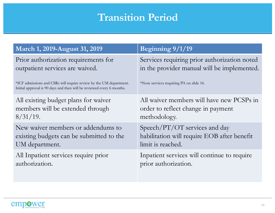#### **Transition Period**

| March 1, 2019-August 31, 2019                                                                                                                                                                                          | Beginning 9/1/19                                                                                                                        |
|------------------------------------------------------------------------------------------------------------------------------------------------------------------------------------------------------------------------|-----------------------------------------------------------------------------------------------------------------------------------------|
| Prior authorization requirements for<br>outpatient services are waived.<br>*ICF admissions and CSRs will require review by the UM department.<br>Initial approval is 90 days and then will be reviewed every 6 months. | Services requiring prior authorization noted<br>in the provider manual will be implemented.<br>*Note services requiring PA on slide 16. |
| All existing budget plans for waiver                                                                                                                                                                                   | All waiver members will have new PCSPs in                                                                                               |
| members will be extended through                                                                                                                                                                                       | order to reflect change in payment                                                                                                      |
| $8/31/19$ .                                                                                                                                                                                                            | methodology.                                                                                                                            |
| New waiver members or addendums to                                                                                                                                                                                     | Speech/PT/OT services and day                                                                                                           |
| existing budgets can be submitted to the                                                                                                                                                                               | habilitation will require EOB after benefit                                                                                             |
| UM department.                                                                                                                                                                                                         | limit is reached.                                                                                                                       |
| All Inpatient services require prior                                                                                                                                                                                   | Inpatient services will continue to require                                                                                             |
| authorization.                                                                                                                                                                                                         | prior authorization.                                                                                                                    |

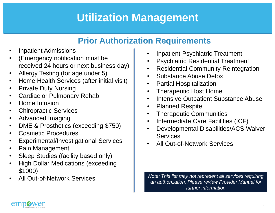## **Utilization Management**

#### **Prior Authorization Requirements**

- Inpatient Admissions
- (Emergency notification must be received 24 hours or next business day)
- Allergy Testing (for age under 5)
- Home Health Services (after initial visit)
- Private Duty Nursing
- Cardiac or Pulmonary Rehab
- Home Infusion
- Chiropractic Services
- Advanced Imaging
- DME & Prosthetics (exceeding \$750)
- Cosmetic Procedures
- Experimental/Investigational Services
- Pain Management
- Sleep Studies (facility based only)
- High Dollar Medications (exceeding \$1000)
- All Out-of-Network Services
- Inpatient Psychiatric Treatment
- Psychiatric Residential Treatment
- Residential Community Reintegration
- Substance Abuse Detox
- Partial Hospitalization
- Therapeutic Host Home
- Intensive Outpatient Substance Abuse
- Planned Respite
- Therapeutic Communities
- Intermediate Care Facilities (ICF)
- Developmental Disabilities/ACS Waiver **Services**
- All Out-of-Network Services

*Note: This list may not represent all services requiring an authorization. Please review Provider Manual for further information*

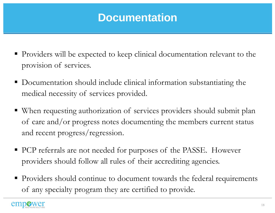#### **Documentation**

- Providers will be expected to keep clinical documentation relevant to the provision of services.
- Documentation should include clinical information substantiating the medical necessity of services provided.
- When requesting authorization of services providers should submit plan of care and/or progress notes documenting the members current status and recent progress/regression.
- **PCP** referrals are not needed for purposes of the PASSE. However providers should follow all rules of their accrediting agencies.
- Providers should continue to document towards the federal requirements of any specialty program they are certified to provide.

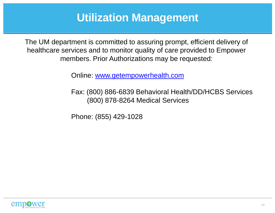#### **Utilization Management**

The UM department is committed to assuring prompt, efficient delivery of healthcare services and to monitor quality of care provided to Empower members. Prior Authorizations may be requested:

Online: [www.getempowerhealth.com](http://www.getempowerhealth.com/)

Fax: (800) 886-6839 Behavioral Health/DD/HCBS Services (800) 878-8264 Medical Services

Phone: (855) 429-1028

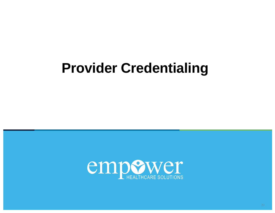# **Provider Credentialing**

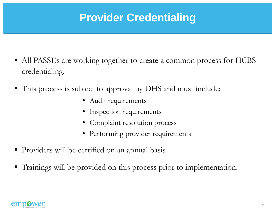## **Provider Credentialing**

- All PASSEs are working together to create a common process for HCBS credentialing.
- This process is subject to approval by DHS and must include:
	- Audit requirements
	- Inspection requirements
	- Complaint resolution process
	- Performing provider requirements
- Providers will be certified on an annual basis.
- Trainings will be provided on this process prior to implementation.

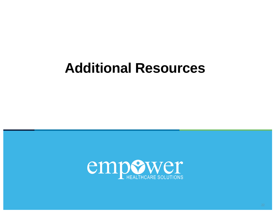## **Additional Resources**

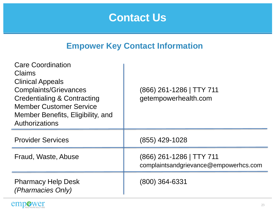#### **Contact Us**

#### **Empower Key Contact Information**

| <b>Care Coordination</b><br><b>Claims</b><br><b>Clinical Appeals</b><br><b>Complaints/Grievances</b><br><b>Credentialing &amp; Contracting</b><br><b>Member Customer Service</b><br>Member Benefits, Eligibility, and<br>Authorizations | (866) 261-1286   TTY 711<br>getempowerhealth.com                  |
|-----------------------------------------------------------------------------------------------------------------------------------------------------------------------------------------------------------------------------------------|-------------------------------------------------------------------|
| <b>Provider Services</b>                                                                                                                                                                                                                | $(855)$ 429-1028                                                  |
| Fraud, Waste, Abuse                                                                                                                                                                                                                     | (866) 261-1286   TTY 711<br>complaintsandgrievance@empowerhcs.com |
| <b>Pharmacy Help Desk</b><br>(Pharmacies Only)                                                                                                                                                                                          | (800) 364-6331                                                    |

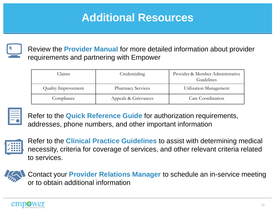## **Additional Resources**



Review the **Provider Manual** for more detailed information about provider requirements and partnering with Empower

| Claims                     | Credentialing            | Provider & Member Administrative<br>Guidelines |
|----------------------------|--------------------------|------------------------------------------------|
| <b>Quality Improvement</b> | <b>Pharmacy Services</b> | Utilization Management                         |
| Compliance                 | Appeals & Grievances     | Care Coordination                              |



Refer to the **Quick Reference Guide** for authorization requirements, addresses, phone numbers, and other important information



Refer to the **Clinical Practice Guidelines** to assist with determining medical necessity, criteria for coverage of services, and other relevant criteria related to services.



Contact your **Provider Relations Manager** to schedule an in-service meeting or to obtain additional information

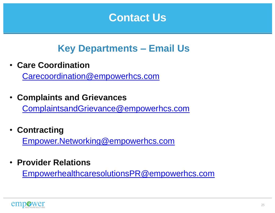#### **Contact Us**

#### **Key Departments – Email Us**

• **Care Coordination** 

[Carecoordination@empowerhcs.com](mailto:Carecoordination@empowerhcs.com)

• **Complaints and Grievances** 

[ComplaintsandGrievance@empowerhcs.com](mailto:ComplaintsandGrievance@empowerhcs.com)

• **Contracting** 

[Empower.Networking@empowerhcs.com](mailto:Empower.Networking@empowerhcs.com)

• **Provider Relations**

[EmpowerhealthcaresolutionsPR@empowerhcs.com](mailto:EmpowerhealthcaresolutionsPR@empowerhcs.com)